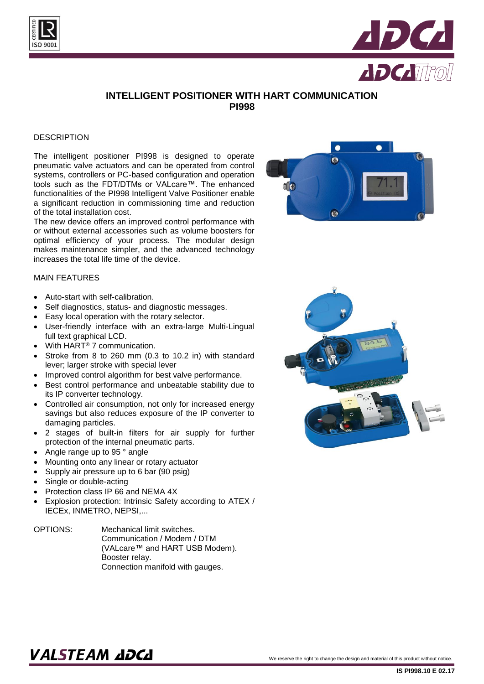



## **INTELLIGENT POSITIONER WITH HART COMMUNICATION PI998**

#### **DESCRIPTION**

The intelligent positioner PI998 is designed to operate pneumatic valve actuators and can be operated from control systems, controllers or PC-based configuration and operation tools such as the FDT/DTMs or VALcare™. The enhanced functionalities of the PI998 Intelligent Valve Positioner enable a significant reduction in commissioning time and reduction of the total installation cost.

The new device offers an improved control performance with or without external accessories such as volume boosters for optimal efficiency of your process. The modular design makes maintenance simpler, and the advanced technology increases the total life time of the device.



#### MAIN FEATURES

- Auto-start with self-calibration.
- Self diagnostics, status- and diagnostic messages.
- Easy local operation with the rotary selector.
- User-friendly interface with an extra-large Multi-Lingual full text graphical LCD.
- With HART<sup>®</sup> 7 communication.
- Stroke from 8 to 260 mm (0.3 to 10.2 in) with standard lever; larger stroke with special lever
- Improved control algorithm for best valve performance.
- Best control performance and unbeatable stability due to its IP converter technology.
- Controlled air consumption, not only for increased energy savings but also reduces exposure of the IP converter to damaging particles.
- 2 stages of built-in filters for air supply for further protection of the internal pneumatic parts.
- Angle range up to 95 ° angle
- Mounting onto any linear or rotary actuator
- Supply air pressure up to 6 bar (90 psig)
- Single or double-acting
- Protection class IP 66 and NEMA 4X
- Explosion protection: Intrinsic Safety according to ATEX / IECEx, INMETRO, NEPSI,...
- OPTIONS: Mechanical limit switches. Communication / Modem / DTM (VALcare™ and HART USB Modem). Booster relay. Connection manifold with gauges.



# $\textbf{VALSTEAM}$  and  $\textbf{DCL}$  we reserve the right to change the design and material of this product without notice.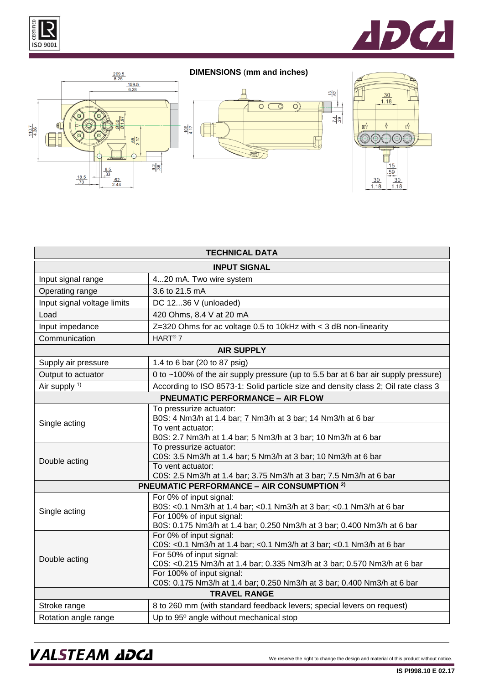





### **DIMENSIONS** (**mm and inches)**





| <b>TECHNICAL DATA</b>                             |                                                                                                                                                                                                                                                                                                                 |  |
|---------------------------------------------------|-----------------------------------------------------------------------------------------------------------------------------------------------------------------------------------------------------------------------------------------------------------------------------------------------------------------|--|
| <b>INPUT SIGNAL</b>                               |                                                                                                                                                                                                                                                                                                                 |  |
| Input signal range                                | 420 mA. Two wire system                                                                                                                                                                                                                                                                                         |  |
| Operating range                                   | 3.6 to 21.5 mA                                                                                                                                                                                                                                                                                                  |  |
| Input signal voltage limits                       | DC 1236 V (unloaded)                                                                                                                                                                                                                                                                                            |  |
| Load                                              | 420 Ohms, 8.4 V at 20 mA                                                                                                                                                                                                                                                                                        |  |
| Input impedance                                   | $Z=320$ Ohms for ac voltage 0.5 to 10kHz with $<$ 3 dB non-linearity                                                                                                                                                                                                                                            |  |
| Communication                                     | HART <sup>®</sup> 7                                                                                                                                                                                                                                                                                             |  |
| <b>AIR SUPPLY</b>                                 |                                                                                                                                                                                                                                                                                                                 |  |
| Supply air pressure                               | 1.4 to 6 bar (20 to 87 psig)                                                                                                                                                                                                                                                                                    |  |
| Output to actuator                                | 0 to ~100% of the air supply pressure (up to 5.5 bar at 6 bar air supply pressure)                                                                                                                                                                                                                              |  |
| Air supply <sup>1)</sup>                          | According to ISO 8573-1: Solid particle size and density class 2; Oil rate class 3                                                                                                                                                                                                                              |  |
| <b>PNEUMATIC PERFORMANCE - AIR FLOW</b>           |                                                                                                                                                                                                                                                                                                                 |  |
| Single acting                                     | To pressurize actuator:<br>B0S: 4 Nm3/h at 1.4 bar; 7 Nm3/h at 3 bar; 14 Nm3/h at 6 bar<br>To vent actuator:<br>B0S: 2.7 Nm3/h at 1.4 bar; 5 Nm3/h at 3 bar; 10 Nm3/h at 6 bar                                                                                                                                  |  |
| Double acting                                     | To pressurize actuator:<br>C0S: 3.5 Nm3/h at 1.4 bar; 5 Nm3/h at 3 bar; 10 Nm3/h at 6 bar<br>To vent actuator:<br>C0S: 2.5 Nm3/h at 1.4 bar; 3.75 Nm3/h at 3 bar; 7.5 Nm3/h at 6 bar                                                                                                                            |  |
| <b>PNEUMATIC PERFORMANCE - AIR CONSUMPTION 2)</b> |                                                                                                                                                                                                                                                                                                                 |  |
| Single acting                                     | For 0% of input signal:<br>B0S: <0.1 Nm3/h at 1.4 bar; <0.1 Nm3/h at 3 bar; <0.1 Nm3/h at 6 bar<br>For 100% of input signal:<br>B0S: 0.175 Nm3/h at 1.4 bar; 0.250 Nm3/h at 3 bar; 0.400 Nm3/h at 6 bar                                                                                                         |  |
| Double acting                                     | For 0% of input signal:<br>C0S: <0.1 Nm3/h at 1.4 bar; <0.1 Nm3/h at 3 bar; <0.1 Nm3/h at 6 bar<br>For 50% of input signal:<br>C0S: <0.215 Nm3/h at 1.4 bar; 0.335 Nm3/h at 3 bar; 0.570 Nm3/h at 6 bar<br>For 100% of input signal:<br>C0S: 0.175 Nm3/h at 1.4 bar; 0.250 Nm3/h at 3 bar; 0.400 Nm3/h at 6 bar |  |
| <b>TRAVEL RANGE</b>                               |                                                                                                                                                                                                                                                                                                                 |  |
| Stroke range                                      | 8 to 260 mm (with standard feedback levers; special levers on request)                                                                                                                                                                                                                                          |  |
| Rotation angle range                              | Up to 95° angle without mechanical stop                                                                                                                                                                                                                                                                         |  |

## VALSTEAM ADCA We reserve the right to change the design and material of this product without notice.